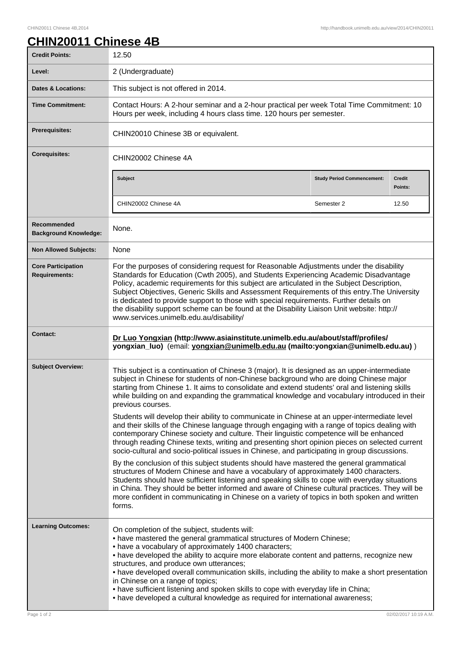## **CHIN20011 Chinese 4B**

| <b>Credit Points:</b>                             | 12.50                                                                                                                                                                                                                                                                                                                                                                                                                                                                                                                                                                                                                                    |                                   |                          |
|---------------------------------------------------|------------------------------------------------------------------------------------------------------------------------------------------------------------------------------------------------------------------------------------------------------------------------------------------------------------------------------------------------------------------------------------------------------------------------------------------------------------------------------------------------------------------------------------------------------------------------------------------------------------------------------------------|-----------------------------------|--------------------------|
| Level:                                            | 2 (Undergraduate)                                                                                                                                                                                                                                                                                                                                                                                                                                                                                                                                                                                                                        |                                   |                          |
| <b>Dates &amp; Locations:</b>                     | This subject is not offered in 2014.                                                                                                                                                                                                                                                                                                                                                                                                                                                                                                                                                                                                     |                                   |                          |
| <b>Time Commitment:</b>                           | Contact Hours: A 2-hour seminar and a 2-hour practical per week Total Time Commitment: 10<br>Hours per week, including 4 hours class time. 120 hours per semester.                                                                                                                                                                                                                                                                                                                                                                                                                                                                       |                                   |                          |
| Prerequisites:                                    | CHIN20010 Chinese 3B or equivalent.                                                                                                                                                                                                                                                                                                                                                                                                                                                                                                                                                                                                      |                                   |                          |
| <b>Corequisites:</b>                              | CHIN20002 Chinese 4A                                                                                                                                                                                                                                                                                                                                                                                                                                                                                                                                                                                                                     |                                   |                          |
|                                                   | <b>Subject</b>                                                                                                                                                                                                                                                                                                                                                                                                                                                                                                                                                                                                                           | <b>Study Period Commencement:</b> | <b>Credit</b><br>Points: |
|                                                   | CHIN20002 Chinese 4A                                                                                                                                                                                                                                                                                                                                                                                                                                                                                                                                                                                                                     | Semester 2                        | 12.50                    |
| Recommended<br><b>Background Knowledge:</b>       | None.                                                                                                                                                                                                                                                                                                                                                                                                                                                                                                                                                                                                                                    |                                   |                          |
| <b>Non Allowed Subjects:</b>                      | None                                                                                                                                                                                                                                                                                                                                                                                                                                                                                                                                                                                                                                     |                                   |                          |
| <b>Core Participation</b><br><b>Requirements:</b> | For the purposes of considering request for Reasonable Adjustments under the disability<br>Standards for Education (Cwth 2005), and Students Experiencing Academic Disadvantage<br>Policy, academic requirements for this subject are articulated in the Subject Description,<br>Subject Objectives, Generic Skills and Assessment Requirements of this entry. The University<br>is dedicated to provide support to those with special requirements. Further details on<br>the disability support scheme can be found at the Disability Liaison Unit website: http://<br>www.services.unimelb.edu.au/disability/                         |                                   |                          |
| <b>Contact:</b>                                   | Dr Luo Yongxian (http://www.asiainstitute.unimelb.edu.au/about/staff/profiles/<br>yongxian_luo) (email: yongxian@unimelb.edu.au (mailto:yongxian@unimelb.edu.au))                                                                                                                                                                                                                                                                                                                                                                                                                                                                        |                                   |                          |
| <b>Subject Overview:</b>                          | This subject is a continuation of Chinese 3 (major). It is designed as an upper-intermediate<br>subject in Chinese for students of non-Chinese background who are doing Chinese major<br>starting from Chinese 1. It aims to consolidate and extend students' oral and listening skills<br>while building on and expanding the grammatical knowledge and vocabulary introduced in their<br>previous courses.                                                                                                                                                                                                                             |                                   |                          |
|                                                   | Students will develop their ability to communicate in Chinese at an upper-intermediate level<br>and their skills of the Chinese language through engaging with a range of topics dealing with<br>contemporary Chinese society and culture. Their linguistic competence will be enhanced<br>through reading Chinese texts, writing and presenting short opinion pieces on selected current<br>socio-cultural and socio-political issues in Chinese, and participating in group discussions.                                                                                                                                               |                                   |                          |
|                                                   | By the conclusion of this subject students should have mastered the general grammatical<br>structures of Modern Chinese and have a vocabulary of approximately 1400 characters.<br>Students should have sufficient listening and speaking skills to cope with everyday situations<br>in China. They should be better informed and aware of Chinese cultural practices. They will be<br>more confident in communicating in Chinese on a variety of topics in both spoken and written<br>forms.                                                                                                                                            |                                   |                          |
| <b>Learning Outcomes:</b>                         | On completion of the subject, students will:<br>• have mastered the general grammatical structures of Modern Chinese;<br>• have a vocabulary of approximately 1400 characters;<br>• have developed the ability to acquire more elaborate content and patterns, recognize new<br>structures, and produce own utterances;<br>• have developed overall communication skills, including the ability to make a short presentation<br>in Chinese on a range of topics;<br>• have sufficient listening and spoken skills to cope with everyday life in China;<br>• have developed a cultural knowledge as required for international awareness; |                                   |                          |
| Page 1 of 2                                       |                                                                                                                                                                                                                                                                                                                                                                                                                                                                                                                                                                                                                                          |                                   | 02/02/2017 10:19 A.M.    |